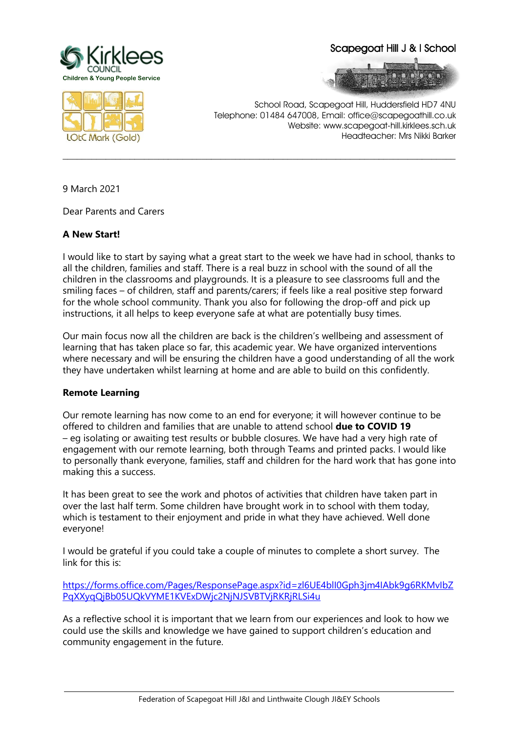

Scapegoat Hill J & I School





School Road, Scapegoat Hill, Huddersfield HD7 4NU Telephone: 01484 647008, Email: office@scapegoathill.co.uk Website: www.scapegoat-hill.kirklees.sch.uk Headteacher: Mrs Nikki Barker

9 March 2021

Dear Parents and Carers

## **A New Start!**

I would like to start by saying what a great start to the week we have had in school, thanks to all the children, families and staff. There is a real buzz in school with the sound of all the children in the classrooms and playgrounds. It is a pleasure to see classrooms full and the smiling faces – of children, staff and parents/carers; if feels like a real positive step forward for the whole school community. Thank you also for following the drop-off and pick up instructions, it all helps to keep everyone safe at what are potentially busy times.

**\_\_\_\_\_\_\_\_\_\_\_\_\_\_\_\_\_\_\_\_\_\_\_\_\_\_\_\_\_\_\_\_\_\_\_\_\_\_\_\_\_\_\_\_\_\_\_\_\_\_\_\_\_\_\_\_\_\_\_\_\_\_\_\_\_\_\_\_\_\_\_\_\_\_\_\_\_\_\_\_\_\_**

Our main focus now all the children are back is the children's wellbeing and assessment of learning that has taken place so far, this academic year. We have organized interventions where necessary and will be ensuring the children have a good understanding of all the work they have undertaken whilst learning at home and are able to build on this confidently.

## **Remote Learning**

Our remote learning has now come to an end for everyone; it will however continue to be offered to children and families that are unable to attend school **due to COVID 19** – eg isolating or awaiting test results or bubble closures. We have had a very high rate of engagement with our remote learning, both through Teams and printed packs. I would like to personally thank everyone, families, staff and children for the hard work that has gone into making this a success.

It has been great to see the work and photos of activities that children have taken part in over the last half term. Some children have brought work in to school with them today, which is testament to their enjoyment and pride in what they have achieved. Well done everyone!

I would be grateful if you could take a couple of minutes to complete a short survey. The link for this is:

[https://forms.office.com/Pages/ResponsePage.aspx?id=zl6UE4blI0Gph3jm4IAbk9g6RKMvIbZ](https://forms.office.com/Pages/ResponsePage.aspx?id=zl6UE4blI0Gph3jm4IAbk9g6RKMvIbZPqXXyqQjBb05UQkVYME1KVExDWjc2NjNJSVBTVjRKRjRLSi4u) [PqXXyqQjBb05UQkVYME1KVExDWjc2NjNJSVBTVjRKRjRLSi4u](https://forms.office.com/Pages/ResponsePage.aspx?id=zl6UE4blI0Gph3jm4IAbk9g6RKMvIbZPqXXyqQjBb05UQkVYME1KVExDWjc2NjNJSVBTVjRKRjRLSi4u)

As a reflective school it is important that we learn from our experiences and look to how we could use the skills and knowledge we have gained to support children's education and community engagement in the future.